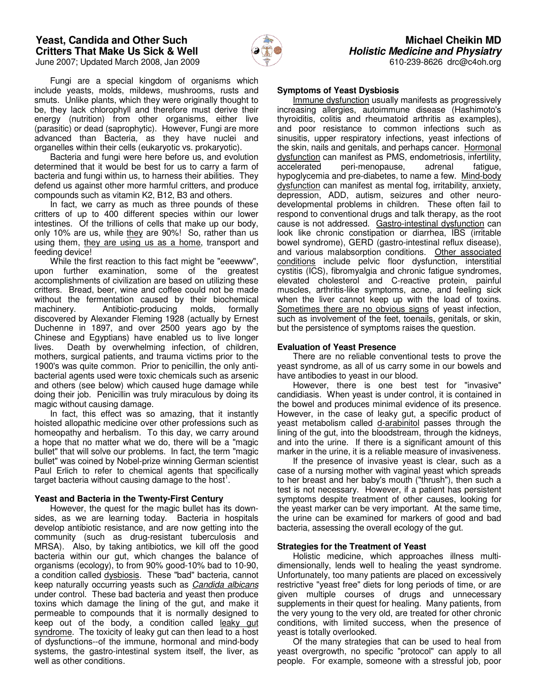### **Yeast, Candida and Other Such Critters That Make Us Sick & Well** June 2007; Updated March 2008, Jan 2009



610-239-8626 drc@c4oh.org

 Fungi are a special kingdom of organisms which include yeasts, molds, mildews, mushrooms, rusts and smuts. Unlike plants, which they were originally thought to be, they lack chlorophyll and therefore must derive their energy (nutrition) from other organisms, either live (parasitic) or dead (saprophytic). However, Fungi are more advanced than Bacteria, as they have nuclei and organelles within their cells (eukaryotic vs. prokaryotic).

 Bacteria and fungi were here before us, and evolution determined that it would be best for us to carry a farm of bacteria and fungi within us, to harness their abilities. They defend us against other more harmful critters, and produce compounds such as vitamin K2, B12, B3 and others.

 In fact, we carry as much as three pounds of these critters of up to 400 different species within our lower intestines. Of the trillions of cells that make up our body, only 10% are us, while they are 90%! So, rather than us using them, they are using us as a home, transport and feeding device!

 While the first reaction to this fact might be "eeewww", upon further examination, some of the greatest accomplishments of civilization are based on utilizing these critters. Bread, beer, wine and coffee could not be made without the fermentation caused by their biochemical machinery. Antibiotic-producing molds, formally discovered by Alexander Fleming 1928 (actually by Ernest Duchenne in 1897, and over 2500 years ago by the Chinese and Egyptians) have enabled us to live longer lives. Death by overwhelming infection, of children, mothers, surgical patients, and trauma victims prior to the 1900's was quite common. Prior to penicillin, the only antibacterial agents used were toxic chemicals such as arsenic and others (see below) which caused huge damage while doing their job. Penicillin was truly miraculous by doing its magic without causing damage.

 In fact, this effect was so amazing, that it instantly hoisted allopathic medicine over other professions such as homeopathy and herbalism. To this day, we carry around a hope that no matter what we do, there will be a "magic bullet" that will solve our problems. In fact, the term "magic bullet" was coined by Nobel-prize winning German scientist Paul Erlich to refer to chemical agents that specifically target bacteria without causing damage to the host<sup>1</sup>.

#### **Yeast and Bacteria in the Twenty-First Century**

 However, the quest for the magic bullet has its downsides, as we are learning today. Bacteria in hospitals develop antibiotic resistance, and are now getting into the community (such as drug-resistant tuberculosis and MRSA). Also, by taking antibiotics, we kill off the good bacteria within our gut, which changes the balance of organisms (ecology), to from 90% good-10% bad to 10-90, a condition called dysbiosis. These "bad" bacteria, cannot keep naturally occurring yeasts such as Candida albicans under control. These bad bacteria and yeast then produce toxins which damage the lining of the gut, and make it permeable to compounds that it is normally designed to keep out of the body, a condition called leaky gut syndrome. The toxicity of leaky gut can then lead to a host of dysfunctions--of the immune, hormonal and mind-body systems, the gastro-intestinal system itself, the liver, as well as other conditions.

## **Symptoms of Yeast Dysbiosis**

 Immune dysfunction usually manifests as progressively increasing allergies, autoimmune disease (Hashimoto's thyroiditis, colitis and rheumatoid arthritis as examples), and poor resistance to common infections such as sinusitis, upper respiratory infections, yeast infections of the skin, nails and genitals, and perhaps cancer. Hormonal dysfunction can manifest as PMS, endometriosis, infertility, accelerated peri-menopause, adrenal fatigue, hypoglycemia and pre-diabetes, to name a few. Mind-body dysfunction can manifest as mental fog, irritability, anxiety, depression, ADD, autism, seizures and other neurodevelopmental problems in children. These often fail to respond to conventional drugs and talk therapy, as the root cause is not addressed. Gastro-intestinal dysfunction can look like chronic constipation or diarrhea, IBS (irritable bowel syndrome), GERD (gastro-intestinal reflux disease), and various malabsorption conditions. Other associated conditions include pelvic floor dysfunction, interstitial cystitis (ICS), fibromyalgia and chronic fatigue syndromes, elevated cholesterol and C-reactive protein, painful muscles, arthritis-like symptoms, acne, and feeling sick when the liver cannot keep up with the load of toxins. Sometimes there are no obvious signs of yeast infection, such as involvement of the feet, toenails, genitals, or skin, but the persistence of symptoms raises the question.

### **Evaluation of Yeast Presence**

 There are no reliable conventional tests to prove the yeast syndrome, as all of us carry some in our bowels and have antibodies to yeast in our blood.

 However, there is one best test for "invasive" candidiasis. When yeast is under control, it is contained in the bowel and produces minimal evidence of its presence. However, in the case of leaky gut, a specific product of yeast metabolism called d-arabinitol passes through the lining of the gut, into the bloodstream, through the kidneys, and into the urine. If there is a significant amount of this marker in the urine, it is a reliable measure of invasiveness.

 If the presence of invasive yeast is clear, such as a case of a nursing mother with vaginal yeast which spreads to her breast and her baby's mouth ("thrush"), then such a test is not necessary. However, if a patient has persistent symptoms despite treatment of other causes, looking for the yeast marker can be very important. At the same time, the urine can be examined for markers of good and bad bacteria, assessing the overall ecology of the gut.

## **Strategies for the Treatment of Yeast**

 Holistic medicine, which approaches illness multidimensionally, lends well to healing the yeast syndrome. Unfortunately, too many patients are placed on excessively restrictive "yeast free" diets for long periods of time, or are given multiple courses of drugs and unnecessary supplements in their quest for healing. Many patients, from the very young to the very old, are treated for other chronic conditions, with limited success, when the presence of yeast is totally overlooked.

 Of the many strategies that can be used to heal from yeast overgrowth, no specific "protocol" can apply to all people. For example, someone with a stressful job, poor